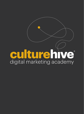# CU ture hive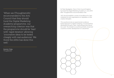'When we [Thoughtsmith] recommended to the Arts Council that they should fund the Digital Marketing Academy programme, our overarching criterion was that the programme should be 'lean' with 'rapid iteration' allowing 'innovative ideas to be tested cheaply with real audiences'. We think the AMA has done this well.'

Dominic Tinley **Thoughtsmith** 

Sir Peter Bazalgette, Chair of Arts Council England, launched the Digital Marketing Academy in June 2014 after Thoughtsmith's recommendation that:

'ACE should establish a centre of excellence for 'lean marketing' by arts organisations to capitalise on their creative strengths.

This would promote an experimental, evidencebased approach to digital marketing. It would itself be developed through a 'lean' methodology (and hence low cost). The Academy would be primarily virtual and could be a further development of CultureHive.'

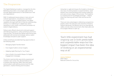## The Programme

The Digital Marketing Academy, managed by the Arts Marketing Association, encourages agile working through digital experiments on real audiences in real arts organisations.

DMA 1.0 addressed issues arising in many arts and cultural organisations, including but not limited to: unclear priorities on digital projects, low digital capability amongst staff, lack of internal understanding and buy-in on delivering in a digital way, teams operating in a silo culture, and current processes not suited to digital delivery.

Fellows were offered robust and continued support with Mentoring sessions, online workshops and Action Learning Sets. The issues the Fellows were facing were addressed with tactical and strategic advice, expert knowledge and peer-to-peer support.

Online workshops provided learning opportunities in the following areas:

- Managing Digital Transformation
- From Digital Toolkit to Smart Insights
- Adapting Agile Planning for Your Project
- How to Build a Successful Always-On Digital Engagement Campaign

The Action Learning Sets were led by experienced marketer Carol Jones; they allowed Fellows time to present their learning, reflect with their peers and provided a safe learning environment for idea generation, creative thinking and innovation.

Using lean or agile techniques the Academy introduces new ways of working based on experimentation, rapid iteration and continual testing that involves audiences and users at every stage of the process. The Academy is a central point for knowledge exchange — Fellows share their learning with each other and across the sector.

There are many advantages to delivering a programme entirely online: the reduced costs and time of travel to Fellows taking part; the Mentors are of an international calibre; and an online environment often feels safer and encourages Fellows to open up.

'Each little experiment has had ongoing use in both predictable and unpredictable ways but the biggest impact has been the idea of working in an experimental way at all.'

Jessica Ziebland DMA Fellow National Centre for Circus Arts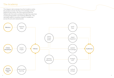## The Academy

This diagram demonstrates how the Academy works; the people involved, the flow of knowledge and the Fellows at the centre. All of the inputs provide the Fellows with the tools to achieve the learning outcomes of 'doing things better' and 'thinking differently'. This ultimately leads to a positive impact on audiences across the arts and cultural sector.



en en de la partie de la partie de la partie de la partie de la partie de la partie de la partie de la partie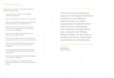## The Experiments

Experiments conducted by the Fellows in DMA 1.0 answered questions like:

- How do we create content that will deepen audience engagement?
- How can we improve our customers' user journey?
- How can we use data to tell stories and share this to create internal buy-in and understanding?
- How can we create an online social space that encourages risk-taking and draws our audience closer to us on and offline?
- How can we use digital to engage with young people and to develop loyalty?
- How can we use gamification to collect data and aid segmentation from our non-ticketed audiences?
- How can we be confident that we're growing our audience online and not just preaching to the converted?
- How can we benchmark our social media activity in more effective ways and share this across the organisation?
- What place does digital have within our integrated communications strategy?
- How can we segment our digital audiences to develop tastemakers and encourage loyalty and risk taking?

'One of the most interesting aspects of the Digital Marketing Academy so far has been watching how our DMA organisations implement their experiments. Interestingly, the experiment design phase was a snap for my Fellows. Where it often can get sticky is finding the time to implement experiments in everyday life.'

Ron Evans DMA Mentor Group of Minds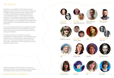## The Fellows

20 places were available on the programme and applicants could choose from two types of Fellowship: a Single Fellowship aimed at senior marketers with an existing understanding of digital practice and a Joint Fellowship open to CEOs, Artistic Directors and Senior Technologists working with a marketing colleague and also Senior Digital Marketers working with a programmer or technologist. Both needed to be passionate about using digital technology to develop audiences.

At its core the DMA wanted to bring together the best people who wanted to work with peers to drive new ways of thinking, doing and sharing digital marketing and experimentation.

The Fellows at DMA 1.0 came from a range of organisations including theatres, multi-disciplinary arts centres, dance companies and a national charity for new music. They were located across England with full access to all elements of the programme as it was delivered entirely online.

Fellows taking part in DMA 2.0 also come from an impressive range of arts organisations across England. Their details can be found on the DMA website:







Trina Keane





National Centre for Steve Woodward A New Direction



Sara Lock Salisbury Arts Centre



Theatre Royal Stratford East

Holly Conneely & Dawn James Tricycle Theatre



FACT

Jessica Ziebland

Circus Arts



Jamie Wooldridge & Jamie Eastman Live at LICA

Amy Rushby RSC





Laraine Penson Northern Ballet



Chris Scott Tyneside Cinemas



Kealy Cozens Sound and Music



JoJo Tyhurst Artichoke



Laura Arends **Stagetext** 



Ruth Catlow Furtherfield



ARC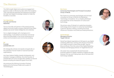## The Mentors

The AMA sought digital and audience engagement experts to take on Mentoring roles within the Academy. Their international expertise and experience provided the high level digital knowledge needed to make the Academy a success.

#### Tom Beardshaw Founder and Partner NativeHQ

Tom is a founder and partner of the award-winning digital and social media company NativeHQ that helps people use social media intelligently and creatively.

He is a digital strategist with a background in anthropology, multi-platform production and social ethics and specialises in the human dimensions of online communications and community building.

## D<sub>K</sub>

Founder justadandak.com

DK strategically advises and speaks energetically on the potential of social media to improve business/ organisations.

He's New Zealand Webby Awards Ambassador and activation manager at BizDojo. He is the founder of justadandak.com and a sought-after speaker at national events including the National Digital Forum (NZ).

He produces the Defining Innovation Podcast series and is the license holder and curator of TEDxWellington.



## Ron Evans

Consumer Psychologist and Principal Consultant Group of Minds

Ron Evans is a consumer psychologist and principal consultant at Group of Minds Arts Marketing + Technology Consultants. He is a leading developer and researcher at the intersection of culture and technology.

His primary area of interest is in exploring emerging technology and its impact on consumer psychology/ customer decision-making, including the social influence of donation and ticket-purchasing behaviour.

#### Daniel Rowles

Managing Director Target Internet

Daniel has helped organistions of all types to use digital marketing effectively, working with all sizes of business from SMEs through to clients like the BBC, Warner Bros and Boots. He is the voice of the Digital Marketing Podcast and Managing Director of TargetInternet.com.

His career has covered both the technical and business aspects of digital marketing, bridging the gap between the two and making best use of the tools and technology available.



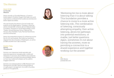## The Mentors

#### Devon Smith Co-founder Measure

Devon recently co-founded Measure, a 2-person studio based in Portland, Oregon that helps non-profit organisations understand their audiences and become better digital storytellers.



She was formerly the director of social media and analytics at the digital agency Threespot, where her clients included BBC America, Bill and Melinda Gates Foundation, Business for Social Responsibility, Ford's Theatre, Harvard Business School, National Park Service, Pew Charitable Trusts, Planned Parenthood, and the Smithsonian.

Devon has presented at dozens of conferences across the US, UK, and Australia. She holds two bachelor's degrees from the University of Washington, as well as an MBA and MFA from Yale University.

#### Dominic Tinley **Partner** Thoughtsmith

Dominic is an interactive media specialist with extensive experience managing web, mobile and interactive TV services. Since 2008 he has worked as an independent consultant providing strategic advice on how new media technologies can be used to engage audiences.

Dominic is an external advisor to BBC Research and Development and BBC News providing guidance on agile project management. He is also a founding partner of Thoughtsmith.



'Mentoring for me is more about listening than it is about talking. This foundation provides a chance to move to a more active listening role…The combination of listening, consciously attempting empathy, then active listening, allows for pathways into potential resolutions, or maybe, just better questions. Again, sometimes it's not about having the answers, more so providing a connection to a shared experience and together working out the answer.'

DK DMA Mentor justadandak.com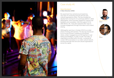

## Steve Woodward A New Direction (AND)

My experiment has centred around exploring new ways of connecting schools with arts and cultural organisations online. This has included the development and launch of a prototype platform called ANDtogether, which has been shaped by ongoing user feedback and consultation. With the support of my DMA Mentor, DK, I have also explored other ways to increase engagement through information and content sharing.

ANDtogether went live in October 2014 for an initial phase of testing with teachers. The site was introduced at our Annual Schools' conference at the British Library, where I engaged around 100 teachers in user testing and feedback. In order to build 'The Index' of organisations profiled within the site, I contacted all London NPOs and others in our wider cultural network, and launched with 630 arts and cultural organisations across the capital.



Steve Woodward Fellow



Mentor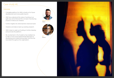### **Outcomes**

- A tangible platform for AND to build on for future development and more public launch.
- AND has understood the value of working in an agile way and embraced the concept of producing projects in beta as an initiative.
- Further insights into what teachers need and want.
- Analytics and data to back-up existing research.
- AND is keen to seek out funding to further develop and promote the platform.
- My involvement in the Academy has enabled me to take a much more experimental approach to developing and implementing ideas, and this has resonated throughout the organisation.





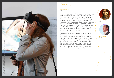

## Jen Chapman FACT

Our key challenge: how do we break our audiences into new, bespoke segments — and even better, how do we use this to communicate more effectively and build better relationships? I hoped to explore this challenge at the Academy, not only because it offered a brilliant opportunity to share stories and ideas across the sector but also because it would encourage me to set aside the time to find a solution — or at least test a potential solution. With help from my Mentor, Daniel Rowles, we decided on an online quiz format that introduced an element of gamification and play.

I wanted to test a new, cost-effective and resourcelight way of gathering audience data — including how risky they are in their arts attendance. I also wanted to put our new segmentation model into practice by dividing audiences into categories, and collecting their contact information so we could stay in touch; build better relationships with audiences by tailoring our future communications according to their segment; and further promote our Type Motion exhibition to audiences with an interest in typography.



Jen Chapman Fellow



Daniel Rowles Mentor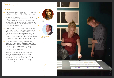#### **Outcomes**

- After 8 weeks the quiz had received 550 views and had been completed by 70% of those individuals.
- I could see the percentage of people in each segment, and how each question fared. It was great to hear from my Mentor, Daniel, that these were some impressive numbers and confirmed that we were onto something — quizzes could very well be a good way forward tor FACT.
- We all complete surveys with our visitors, but how often do you get to ask your audiences questions about who they really are, and how they perceive themselves? Have you ever had a survey that a visitor enjoyed so much that they shared with their friends? After this experiment, we are confident that this is something we should continue to develop.
- Making the process fun was a huge factor in encouraging staff to get on board with our idea, and ultimately led to an enjoyable quiz. It was great to work with the team to devise the questions, and next time we'll expand this further to involve more staff from other departments.
- The added benefit of the Academy is that it creates time to really think about our audiences and what makes them tick; encouraging everyone in the organisation to become familiar with our segmentation model. This has had real impact in the way the organisation thinks about audiences.



Jen Chapman Fellow



Daniel Rowles Mentor

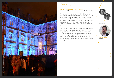

### Jamie Wooldridge and Jamie Eastman Live at LICA / Lancaster Arts at Lancaster University

We were striving to increase our rich digital content but needed to be confident that we were growing our audience online and not just reaching the converted. Our experiment focused on how we could increase our online audiences without jeopardising our physical audience. How can we ensure live streaming grows an audience for our work without jeopardising ticket income?

We wanted to understand our range of audiences; poll our existing audiences to generate actionable insights; target new audiences via social media and monitor social media KPIs. We also looked at devising 'added value' packages to grow audiences and encourage visual arts audiences to become Supporters. We hoped we could also implement digital change across the organisation.



Jamie Wooldridge & Jamie Eastman Joint Fellows



Tom Beardshaw Mentor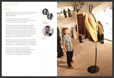#### **Outcomes**

- We realised that before we could become excellent digital marketers we would need to know our audiences better.
- Our online audiences are publishers and tastemakers in their own right and they can inform us just as much as we inform them.
- After researching expensive third party solutions we realised that the analytics provided via the social media platforms themselves were more than adequate. We are now in a position to access and interpret more meaningful engagement data from Facebook and Twitter. We monitor and benchmark ourselves on our engagement rate rather than solely on the number of followers or likes.
- We were aware of significant referrals from Weibo so investigated ways of building up our presence on the platform — we now have a team of volunteers interpreting our tweets and posting on the platform.
- We have seen cultural change within the organisation in adopting more positive attitudes towards digital marketing, this was helped through our Joint Fellowship (Marketing and Communications Manager and Director).



Jamie Wooldridge & Jamie Eastman Joint Fellows



Tom Beardshaw Mentor

an Suite and Supply

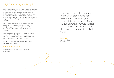## Digital Marketing Academy 2.0

After the success of the first Digital Marketing Academy a second cohort of Fellows was selected to take part in this exciting and innovative programme. These individuals are enthusiastic drivers of change working in senior marketing positions across the arts and cultural sector, driving digital innovation to increase and engage audiences through their experiments at the Academy.

DMA 2.0 launched in April 2015 and has included experiments on social media advertising, online user journeys, virtual reality exploration, audience engagement on social media and building new websites.

Fellows are devising, testing and developing their work and benefit from the robust support established in DMA 1.0 — international Mentors, online workshops, Action Learning Sets and a peer network.

Find out more about the current work of DMA 2.0 Fellows on the website:

#### academy.culturehive.co.uk

Real experiments in real organisations on real audiences.

and the contract of the contract of the contract of the contract of the contract of the contract of the contract of

'The main benefit to being part of the DMA programme has been the 'excuse' or impetus to put digital at the heart of our bOing! Festival communications and to make sure that we have the resources in place to make it work.'

Dave Yard DMA 2.0 Fellow Gulbenkian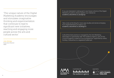'The unique nature of the Digital Marketing Academy encourages and stimulates imaginative thinking and experimentation that continues to lead to significant new initiatives, reaching and engaging more people across the arts and cultural sector.'

#### Julie Aldridge Executive Director AMA

If you are interested in taking part in any future cohorts of the Digital Marketing Academy please register your interest at: academy.culturehive.co.uk/signup

Take a look at the blog for more case studies and stories emerging from Digital Marketing Academy 2.0: academy.culturehive.co.uk/blog2-0

CultureHive best practice is managed by the Arts Marketing Association in partnership with The Audience Agency, part of Arts Council England's Audience Focus programme, supported by lottery funding. CultureHive is a registered trademark.

Association

in partnership with

20202020202 the audience agency



supported by